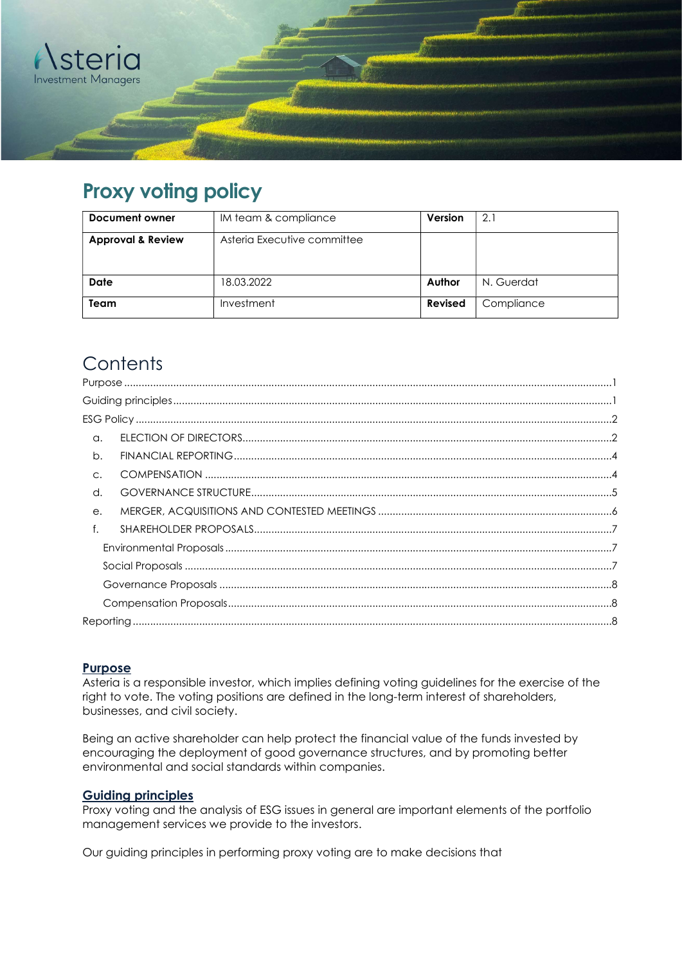

# Proxy voting policy

| Document owner               | IM team & compliance        | <b>Version</b> | 2.1        |
|------------------------------|-----------------------------|----------------|------------|
| <b>Approval &amp; Review</b> | Asteria Executive committee |                |            |
| <b>Date</b>                  | 18.03.2022                  | Author         | N. Guerdat |
| Team                         | Investment                  | Revised        | Compliance |

# **Contents**

| $\alpha$ .     |  |  |
|----------------|--|--|
| b.             |  |  |
| $\mathsf{C}$ . |  |  |
| d.             |  |  |
| $e$ .          |  |  |
| f.             |  |  |
|                |  |  |
|                |  |  |
|                |  |  |
|                |  |  |
|                |  |  |
|                |  |  |

# Purpose

Asteria is a responsible investor, which implies defining voting guidelines for the exercise of the right to vote. The voting positions are defined in the long-term interest of shareholders, businesses, and civil society.

Being an active shareholder can help protect the financial value of the funds invested by encouraging the deployment of good governance structures, and by promoting better environmental and social standards within companies.

# Guiding principles

Proxy voting and the analysis of ESG issues in general are important elements of the portfolio management services we provide to the investors.

Our guiding principles in performing proxy voting are to make decisions that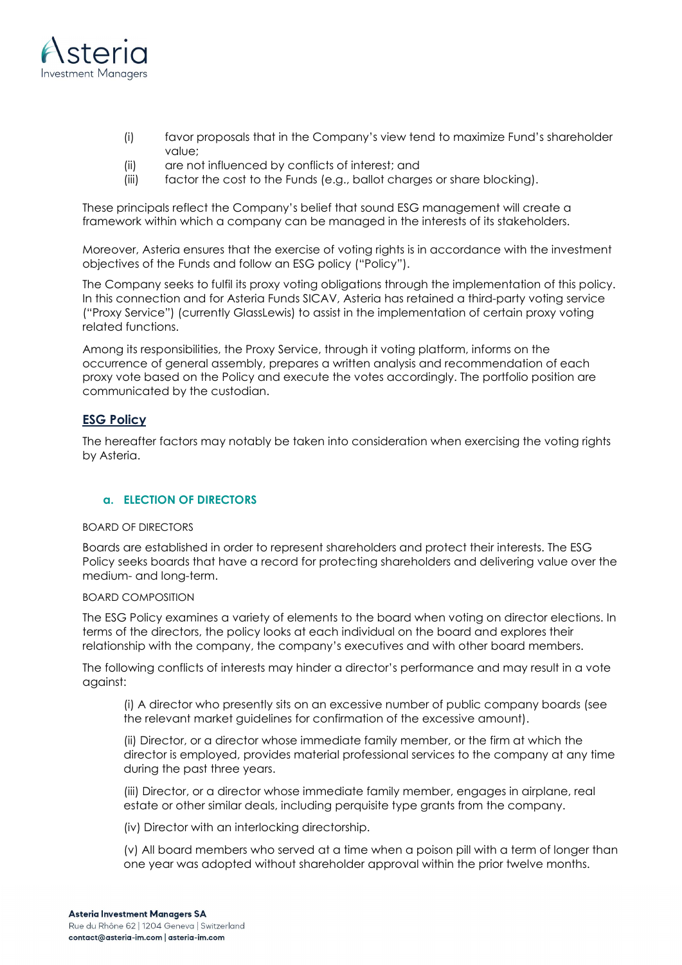

- (i) favor proposals that in the Company's view tend to maximize Fund's shareholder value;
- (ii) are not influenced by conflicts of interest; and
- (iii) factor the cost to the Funds (e.g., ballot charges or share blocking).

These principals reflect the Company's belief that sound ESG management will create a framework within which a company can be managed in the interests of its stakeholders.

Moreover, Asteria ensures that the exercise of voting rights is in accordance with the investment objectives of the Funds and follow an ESG policy ("Policy").

The Company seeks to fulfil its proxy voting obligations through the implementation of this policy. In this connection and for Asteria Funds SICAV, Asteria has retained a third-party voting service ("Proxy Service") (currently GlassLewis) to assist in the implementation of certain proxy voting related functions.

Among its responsibilities, the Proxy Service, through it voting platform, informs on the occurrence of general assembly, prepares a written analysis and recommendation of each proxy vote based on the Policy and execute the votes accordingly. The portfolio position are communicated by the custodian.

# ESG Policy

The hereafter factors may notably be taken into consideration when exercising the voting rights by Asteria.

## a. ELECTION OF DIRECTORS

#### BOARD OF DIRECTORS

Boards are established in order to represent shareholders and protect their interests. The ESG Policy seeks boards that have a record for protecting shareholders and delivering value over the medium- and long-term.

## BOARD COMPOSITION

The ESG Policy examines a variety of elements to the board when voting on director elections. In terms of the directors, the policy looks at each individual on the board and explores their relationship with the company, the company's executives and with other board members.

The following conflicts of interests may hinder a director's performance and may result in a vote against:

(i) A director who presently sits on an excessive number of public company boards (see the relevant market guidelines for confirmation of the excessive amount).

(ii) Director, or a director whose immediate family member, or the firm at which the director is employed, provides material professional services to the company at any time during the past three years.

(iii) Director, or a director whose immediate family member, engages in airplane, real estate or other similar deals, including perquisite type grants from the company.

(iv) Director with an interlocking directorship.

(v) All board members who served at a time when a poison pill with a term of longer than one year was adopted without shareholder approval within the prior twelve months.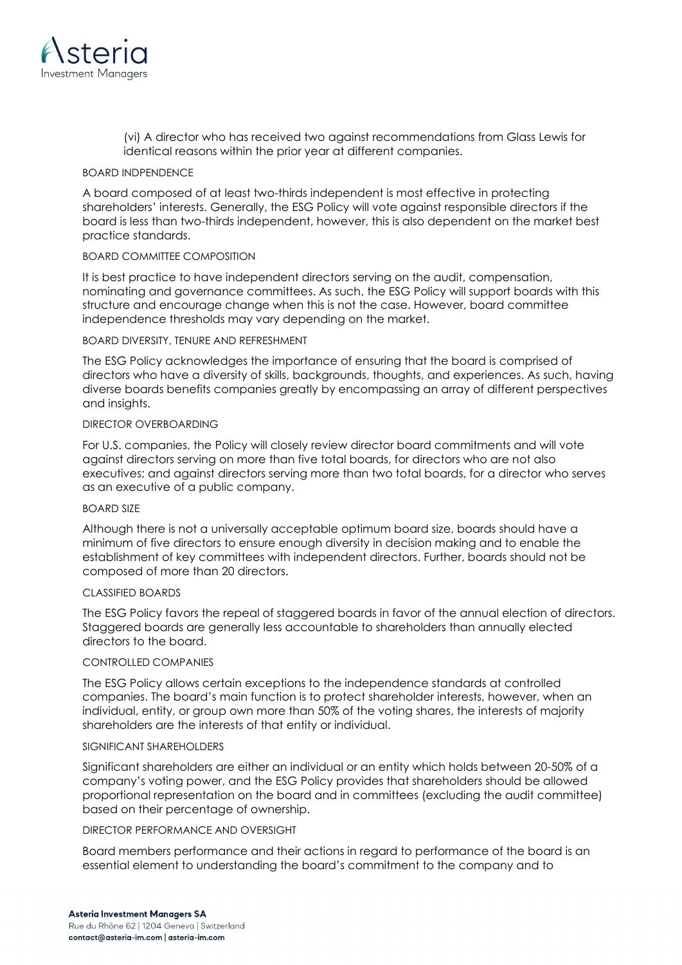

(vi) A director who has received two against recommendations from Glass Lewis for identical reasons within the prior year at different companies.

#### BOARD INDPENDENCE

A board composed of at least two-thirds independent is most effective in protecting shareholders' interests. Generally, the ESG Policy will vote against responsible directors if the board is less than two-thirds independent, however, this is also dependent on the market best practice standards.

#### BOARD COMMITTEE COMPOSITION

It is best practice to have independent directors serving on the audit, compensation, nominating and governance committees. As such, the ESG Policy will support boards with this structure and encourage change when this is not the case. However, board committee independence thresholds may vary depending on the market.

#### BOARD DIVERSITY, TENURE AND REFRESHMENT

The ESG Policy acknowledges the importance of ensuring that the board is comprised of directors who have a diversity of skills, backgrounds, thoughts, and experiences. As such, having diverse boards benefits companies greatly by encompassing an array of different perspectives and insights.

#### DIRECTOR OVERBOARDING

For U.S. companies, the Policy will closely review director board commitments and will vote against directors serving on more than five total boards, for directors who are not also executives; and against directors serving more than two total boards, for a director who serves as an executive of a public company.

#### BOARD SIZE

Although there is not a universally acceptable optimum board size, boards should have a minimum of five directors to ensure enough diversity in decision making and to enable the establishment of key committees with independent directors. Further, boards should not be composed of more than 20 directors.

#### CLASSIFIED BOARDS

The ESG Policy favors the repeal of staggered boards in favor of the annual election of directors. Staggered boards are generally less accountable to shareholders than annually elected directors to the board.

#### CONTROLLED COMPANIES

The ESG Policy allows certain exceptions to the independence standards at controlled companies. The board's main function is to protect shareholder interests, however, when an individual, entity, or group own more than 50% of the voting shares, the interests of majority shareholders are the interests of that entity or individual.

#### SIGNIFICANT SHARFHOLDERS

Significant shareholders are either an individual or an entity which holds between 20-50% of a company's voting power, and the ESG Policy provides that shareholders should be allowed proportional representation on the board and in committees (excluding the audit committee) based on their percentage of ownership.

#### DIRECTOR PERFORMANCE AND OVERSIGHT

Board members performance and their actions in regard to performance of the board is an essential element to understanding the board's commitment to the company and to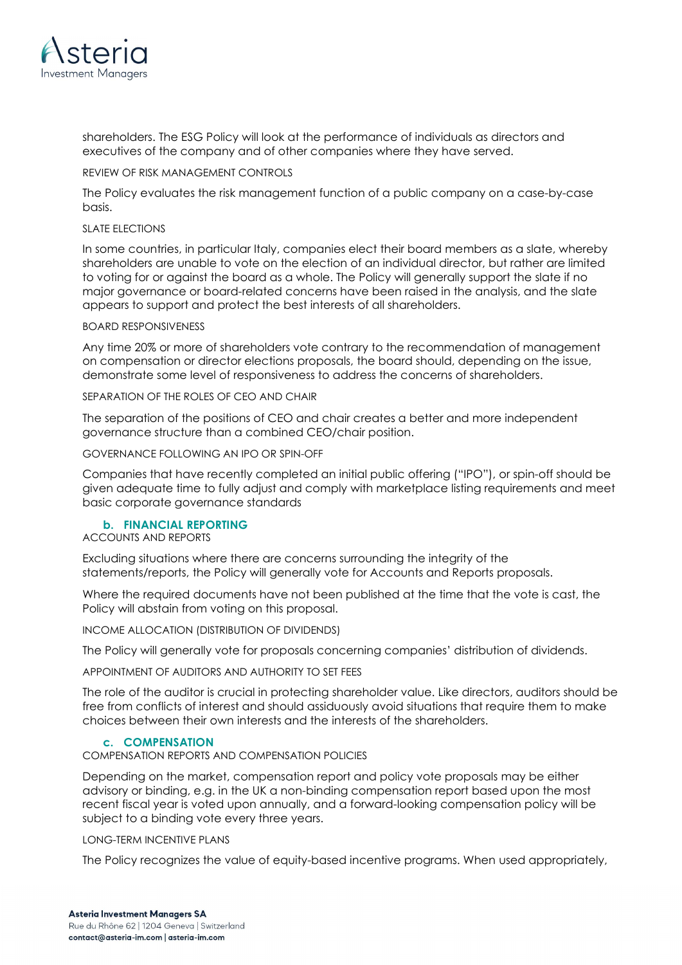

shareholders. The ESG Policy will look at the performance of individuals as directors and executives of the company and of other companies where they have served.

#### REVIEW OF RISK MANAGEMENT CONTROLS

The Policy evaluates the risk management function of a public company on a case-by-case basis.

#### SLATE ELECTIONS

In some countries, in particular Italy, companies elect their board members as a slate, whereby shareholders are unable to vote on the election of an individual director, but rather are limited to voting for or against the board as a whole. The Policy will generally support the slate if no major governance or board-related concerns have been raised in the analysis, and the slate appears to support and protect the best interests of all shareholders.

#### BOARD RESPONSIVENESS

Any time 20% or more of shareholders vote contrary to the recommendation of management on compensation or director elections proposals, the board should, depending on the issue, demonstrate some level of responsiveness to address the concerns of shareholders.

#### SEPARATION OF THE ROLES OF CEO AND CHAIR

The separation of the positions of CEO and chair creates a better and more independent governance structure than a combined CEO/chair position.

#### GOVERNANCE FOLLOWING AN IPO OR SPIN-OFF

Companies that have recently completed an initial public offering ("IPO"), or spin-off should be given adequate time to fully adjust and comply with marketplace listing requirements and meet basic corporate governance standards

#### b. FINANCIAL REPORTING

ACCOUNTS AND REPORTS

Excluding situations where there are concerns surrounding the integrity of the statements/reports, the Policy will generally vote for Accounts and Reports proposals.

Where the required documents have not been published at the time that the vote is cast, the Policy will abstain from voting on this proposal.

INCOME ALLOCATION (DISTRIBUTION OF DIVIDENDS)

The Policy will generally vote for proposals concerning companies' distribution of dividends.

APPOINTMENT OF AUDITORS AND AUTHORITY TO SET FEES

The role of the auditor is crucial in protecting shareholder value. Like directors, auditors should be free from conflicts of interest and should assiduously avoid situations that require them to make choices between their own interests and the interests of the shareholders.

#### c. COMPENSATION

COMPENSATION REPORTS AND COMPENSATION POLICIES

Depending on the market, compensation report and policy vote proposals may be either advisory or binding, e.g. in the UK a non-binding compensation report based upon the most recent fiscal year is voted upon annually, and a forward-looking compensation policy will be subject to a binding vote every three years.

LONG-TERM INCENTIVE PLANS

The Policy recognizes the value of equity-based incentive programs. When used appropriately,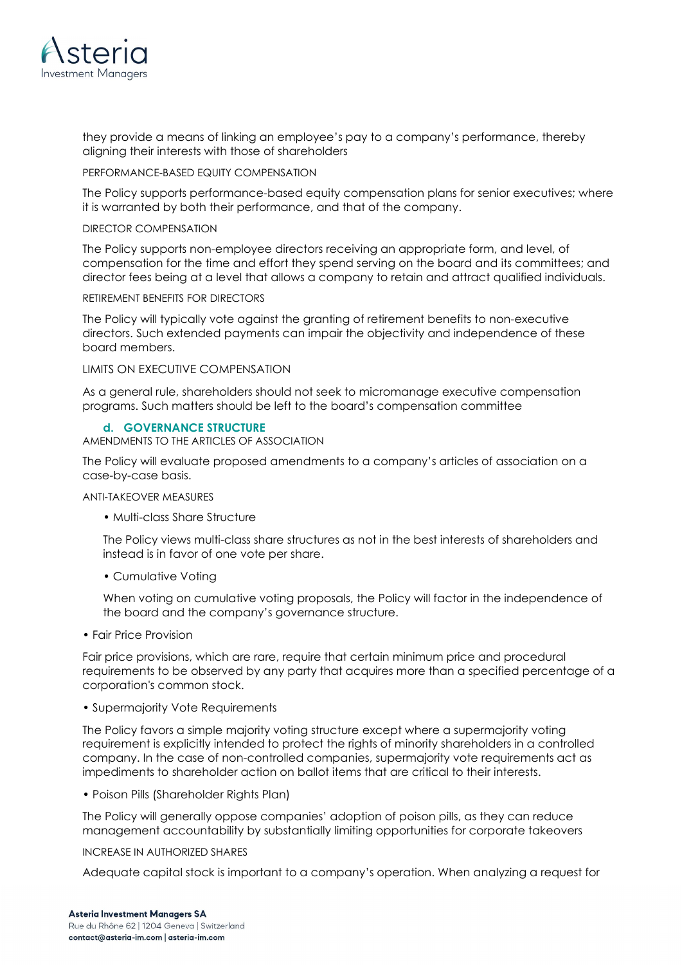

they provide a means of linking an employee's pay to a company's performance, thereby aligning their interests with those of shareholders

#### PERFORMANCE-BASED EQUITY COMPENSATION

The Policy supports performance-based equity compensation plans for senior executives; where it is warranted by both their performance, and that of the company.

#### DIRECTOR COMPENSATION

The Policy supports non-employee directors receiving an appropriate form, and level, of compensation for the time and effort they spend serving on the board and its committees; and director fees being at a level that allows a company to retain and attract qualified individuals.

#### RETIREMENT BENEFITS FOR DIRECTORS

The Policy will typically vote against the granting of retirement benefits to non-executive directors. Such extended payments can impair the objectivity and independence of these board members.

#### LIMITS ON EXECUTIVE COMPENSATION

As a general rule, shareholders should not seek to micromanage executive compensation programs. Such matters should be left to the board's compensation committee

#### d. GOVERNANCE STRUCTURE

AMENDMENTS TO THE ARTICLES OF ASSOCIATION

The Policy will evaluate proposed amendments to a company's articles of association on a case-by-case basis.

#### ANTI-TAKEOVER MEASURES

• Multi-class Share Structure

The Policy views multi-class share structures as not in the best interests of shareholders and instead is in favor of one vote per share.

• Cumulative Voting

When voting on cumulative voting proposals, the Policy will factor in the independence of the board and the company's governance structure.

• Fair Price Provision

Fair price provisions, which are rare, require that certain minimum price and procedural requirements to be observed by any party that acquires more than a specified percentage of a corporation's common stock.

• Supermajority Vote Requirements

The Policy favors a simple majority voting structure except where a supermajority voting requirement is explicitly intended to protect the rights of minority shareholders in a controlled company. In the case of non-controlled companies, supermajority vote requirements act as impediments to shareholder action on ballot items that are critical to their interests.

• Poison Pills (Shareholder Rights Plan)

The Policy will generally oppose companies' adoption of poison pills, as they can reduce management accountability by substantially limiting opportunities for corporate takeovers

#### INCREASE IN AUTHORIZED SHARES

Adequate capital stock is important to a company's operation. When analyzing a request for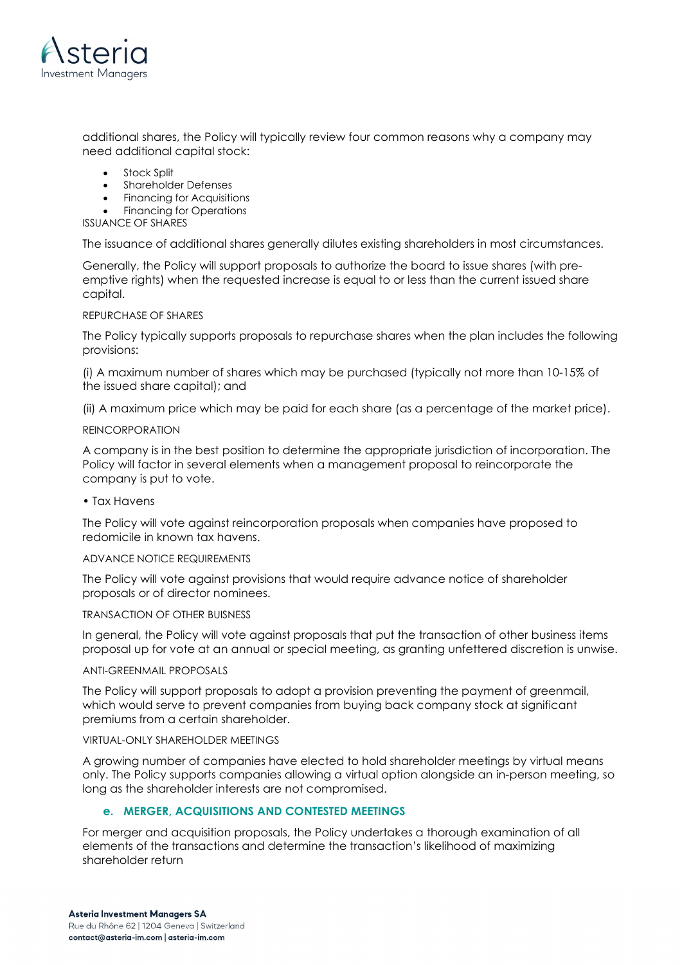

additional shares, the Policy will typically review four common reasons why a company may need additional capital stock:

- Stock Split
- Shareholder Defenses
- Financing for Acquisitions
- Financing for Operations

ISSUANCE OF SHARES

The issuance of additional shares generally dilutes existing shareholders in most circumstances.

Generally, the Policy will support proposals to authorize the board to issue shares (with preemptive rights) when the requested increase is equal to or less than the current issued share capital.

#### REPURCHASE OF SHARES

The Policy typically supports proposals to repurchase shares when the plan includes the following provisions:

(i) A maximum number of shares which may be purchased (typically not more than 10-15% of the issued share capital); and

(ii) A maximum price which may be paid for each share (as a percentage of the market price).

#### REINCORPORATION

A company is in the best position to determine the appropriate jurisdiction of incorporation. The Policy will factor in several elements when a management proposal to reincorporate the company is put to vote.

• Tax Havens

The Policy will vote against reincorporation proposals when companies have proposed to redomicile in known tax havens.

#### ADVANCE NOTICE REQUIREMENTS

The Policy will vote against provisions that would require advance notice of shareholder proposals or of director nominees.

#### TRANSACTION OF OTHER BUISNESS

In general, the Policy will vote against proposals that put the transaction of other business items proposal up for vote at an annual or special meeting, as granting unfettered discretion is unwise.

#### ANTI-GREENMAIL PROPOSALS

The Policy will support proposals to adopt a provision preventing the payment of greenmail, which would serve to prevent companies from buying back company stock at significant premiums from a certain shareholder.

#### VIRTUAL-ONLY SHAREHOLDER MEETINGS

A growing number of companies have elected to hold shareholder meetings by virtual means only. The Policy supports companies allowing a virtual option alongside an in-person meeting, so long as the shareholder interests are not compromised.

## e. MERGER, ACQUISITIONS AND CONTESTED MEETINGS

For merger and acquisition proposals, the Policy undertakes a thorough examination of all elements of the transactions and determine the transaction's likelihood of maximizing shareholder return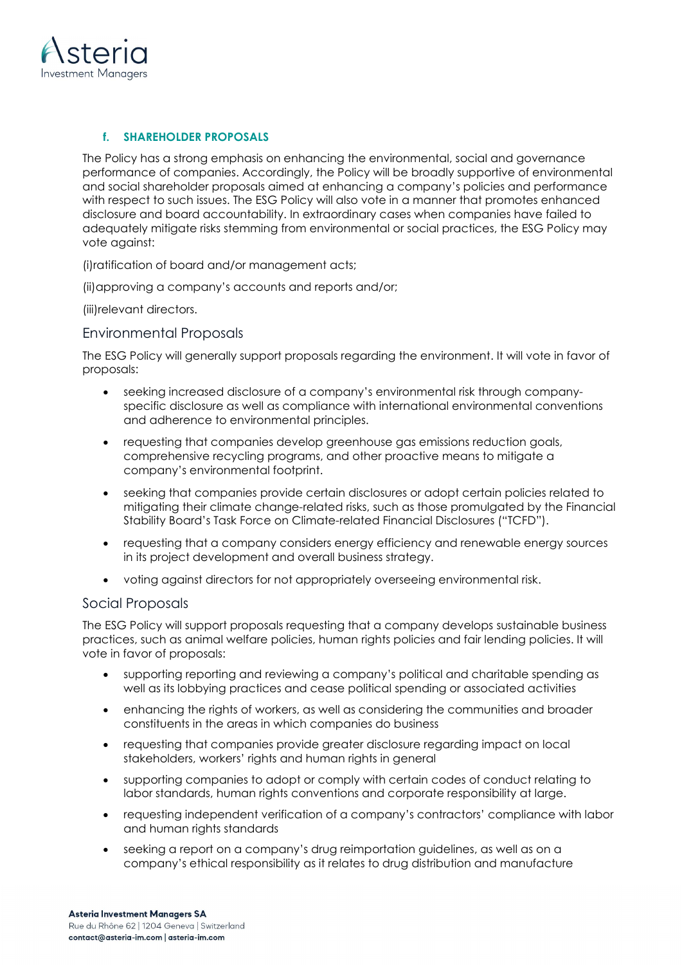

# f. SHAREHOLDER PROPOSALS

The Policy has a strong emphasis on enhancing the environmental, social and governance performance of companies. Accordingly, the Policy will be broadly supportive of environmental and social shareholder proposals aimed at enhancing a company's policies and performance with respect to such issues. The ESG Policy will also vote in a manner that promotes enhanced disclosure and board accountability. In extraordinary cases when companies have failed to adequately mitigate risks stemming from environmental or social practices, the ESG Policy may vote against:

(i)ratification of board and/or management acts;

(ii)approving a company's accounts and reports and/or;

(iii)relevant directors.

## Environmental Proposals

The ESG Policy will generally support proposals regarding the environment. It will vote in favor of proposals:

- seeking increased disclosure of a company's environmental risk through companyspecific disclosure as well as compliance with international environmental conventions and adherence to environmental principles.
- requesting that companies develop greenhouse gas emissions reduction goals, comprehensive recycling programs, and other proactive means to mitigate a company's environmental footprint.
- seeking that companies provide certain disclosures or adopt certain policies related to mitigating their climate change-related risks, such as those promulgated by the Financial Stability Board's Task Force on Climate-related Financial Disclosures ("TCFD").
- requesting that a company considers energy efficiency and renewable energy sources in its project development and overall business strategy.
- voting against directors for not appropriately overseeing environmental risk.

## Social Proposals

The ESG Policy will support proposals requesting that a company develops sustainable business practices, such as animal welfare policies, human rights policies and fair lending policies. It will vote in favor of proposals:

- supporting reporting and reviewing a company's political and charitable spending as well as its lobbying practices and cease political spending or associated activities
- enhancing the rights of workers, as well as considering the communities and broader constituents in the areas in which companies do business
- requesting that companies provide greater disclosure regarding impact on local stakeholders, workers' rights and human rights in general
- supporting companies to adopt or comply with certain codes of conduct relating to labor standards, human rights conventions and corporate responsibility at large.
- requesting independent verification of a company's contractors' compliance with labor and human rights standards
- seeking a report on a company's drug reimportation guidelines, as well as on a company's ethical responsibility as it relates to drug distribution and manufacture